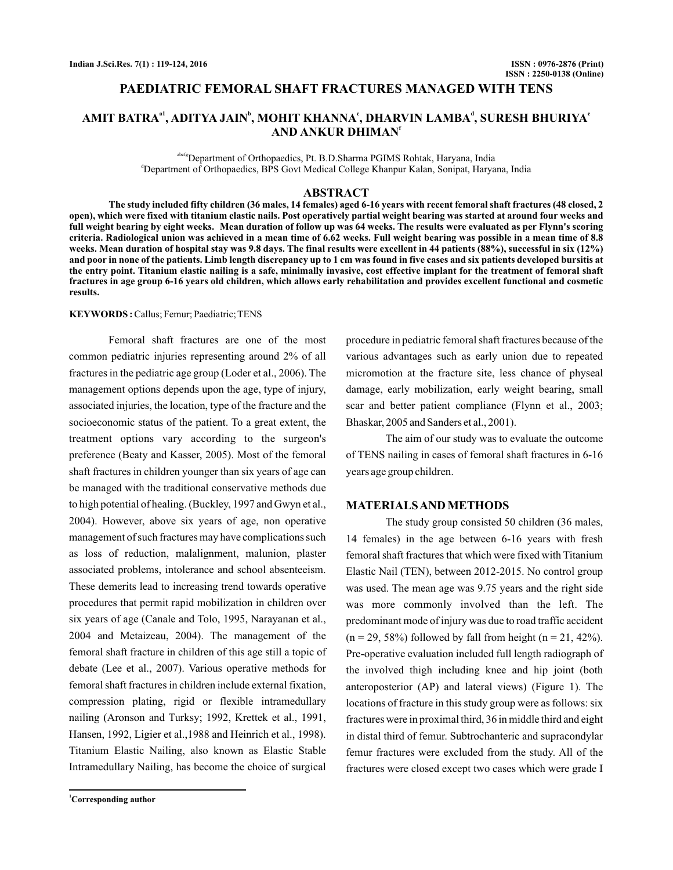# **PAEDIATRIC FEMORAL SHAFT FRACTURES MANAGED WITH TENS**

# $\mathbf{AMIT\ BATRA}^\mathbf{a1}, \mathbf{ADITYA\ JAIN}^\mathbf{b}, \mathbf{MOHIT\ KHANNA}^\mathbf{c}, \mathbf{DHARVIN\ LAMBA}^\mathbf{d}, \mathbf{SURESH\ BHURIYA}^\mathbf{c}$ **AND ANKUR DHIMAN f**

abcfgDepartment of Orthopaedics, Pt. B.D.Sharma PGIMS Rohtak, Haryana, India d Department of Orthopaedics, BPS Govt Medical College Khanpur Kalan, Sonipat, Haryana, India

# **ABSTRACT**

**The study included fifty children (36 males, 14 females) aged 6-16 years with recent femoral shaft fractures (48 closed, 2 open), which were fixed with titanium elastic nails. Post operatively partial weight bearing was started at around four weeks and full weight bearing by eight weeks. Mean duration of follow up was 64 weeks. The results were evaluated as per Flynn's scoring criteria. Radiological union was achieved in a mean time of 6.62 weeks. Full weight bearing was possible in a mean time of 8.8 weeks. Mean duration of hospital stay was 9.8 days. The final results were excellent in 44 patients (88%), successful in six (12%) and poor in none of the patients. Limb length discrepancy up to 1 cm was found in five cases and six patients developed bursitis at the entry point. Titanium elastic nailing is a safe, minimally invasive, cost effective implant for the treatment of femoral shaft fractures in age group 6-16 years old children, which allows early rehabilitation and provides excellent functional and cosmetic results.**

#### **KEYWORDS :**Callus; Femur; Paediatric; TENS

Femoral shaft fractures are one of the most common pediatric injuries representing around 2% of all fractures in the pediatric age group (Loder et al., 2006). The management options depends upon the age, type of injury, associated injuries, the location, type of the fracture and the socioeconomic status of the patient. To a great extent, the treatment options vary according to the surgeon's preference (Beaty and Kasser, 2005). Most of the femoral shaft fractures in children younger than six years of age can be managed with the traditional conservative methods due to high potential of healing. (Buckley, 1997 and Gwyn et al., 2004). However, above six years of age, non operative management of such fractures may have complications such as loss of reduction, malalignment, malunion, plaster associated problems, intolerance and school absenteeism. These demerits lead to increasing trend towards operative procedures that permit rapid mobilization in children over six years of age (Canale and Tolo, 1995, Narayanan et al., 2004 and Metaizeau, 2004). The management of the femoral shaft fracture in children of this age still a topic of debate (Lee et al., 2007). Various operative methods for femoral shaft fractures in children include external fixation, compression plating, rigid or flexible intramedullary nailing (Aronson and Turksy; 1992, Krettek et al., 1991, Hansen, 1992, Ligier et al.,1988 and Heinrich et al., 1998). Titanium Elastic Nailing, also known as Elastic Stable Intramedullary Nailing, has become the choice of surgical

**<sup>1</sup>Corresponding author**

procedure in pediatric femoral shaft fractures because of the various advantages such as early union due to repeated micromotion at the fracture site, less chance of physeal damage, early mobilization, early weight bearing, small scar and better patient compliance (Flynn et al., 2003; Bhaskar, 2005 and Sanders et al., 2001).

The aim of our study was to evaluate the outcome of TENS nailing in cases of femoral shaft fractures in 6-16 years age group children.

### **MATERIALSAND METHODS**

The study group consisted 50 children (36 males, 14 females) in the age between 6-16 years with fresh femoral shaft fractures that which were fixed with Titanium Elastic Nail (TEN), between 2012-2015. No control group was used. The mean age was 9.75 years and the right side was more commonly involved than the left. The predominant mode of injury was due to road traffic accident  $(n = 29, 58\%)$  followed by fall from height  $(n = 21, 42\%).$ Pre-operative evaluation included full length radiograph of the involved thigh including knee and hip joint (both anteroposterior (AP) and lateral views) (Figure 1). The locations of fracture in this study group were as follows: six fractures were in proximal third, 36 in middle third and eight in distal third of femur. Subtrochanteric and supracondylar femur fractures were excluded from the study. All of the fractures were closed except two cases which were grade I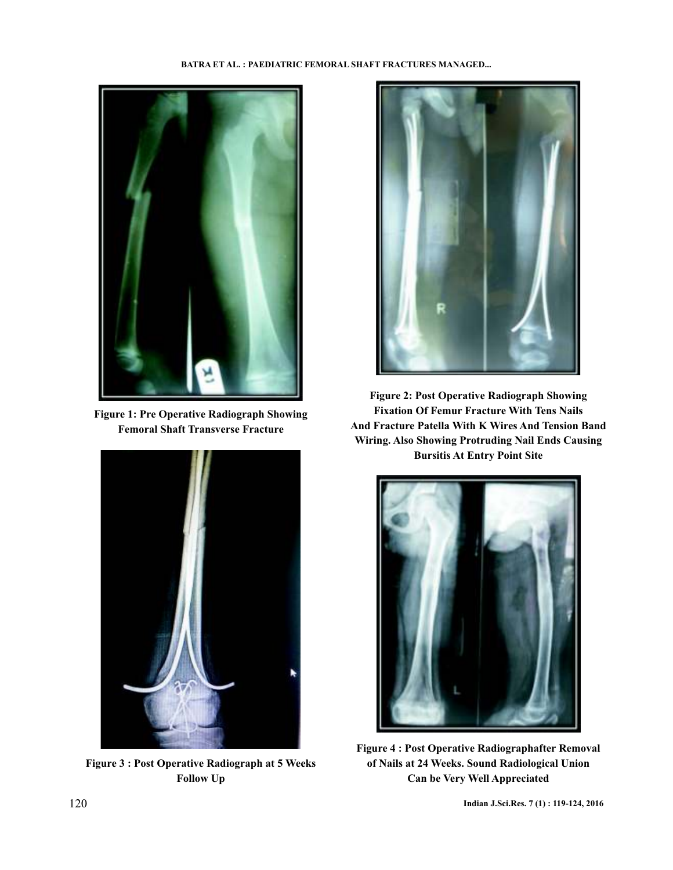

**Figure 1: Pre Operative Radiograph Showing Femoral Shaft Transverse Fracture**



**Figure 3 : Post Operative Radiograph at 5 Weeks Follow Up**



**Figure 2: Post Operative Radiograph Showing Fixation Of Femur Fracture With Tens Nails And Fracture Patella With K Wires And Tension Band Wiring. Also Showing Protruding Nail Ends Causing Bursitis At Entry Point Site**



**Figure 4 : Post Operative Radiographafter Removal of Nails at 24 Weeks. Sound Radiological Union Can be Very Well Appreciated**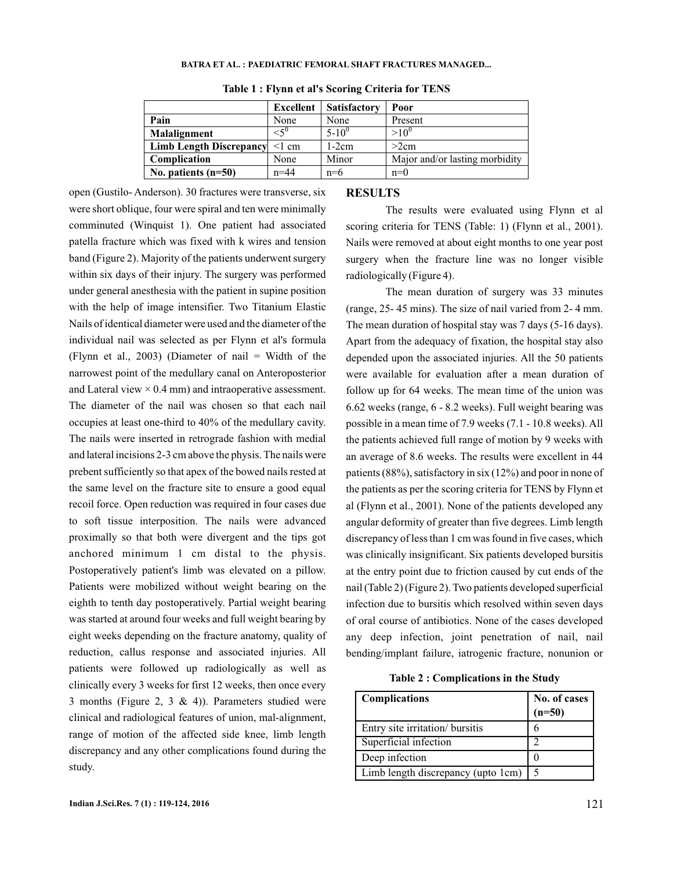#### **BATRA ET AL. : PAEDIATRIC FEMORAL SHAFT FRACTURES MANAGED...**

|                                | Excellent        | <b>Satisfactory</b> | Poor                           |
|--------------------------------|------------------|---------------------|--------------------------------|
| Pain                           | None             | None                | Present                        |
| Malalignment                   | $\leq 5^{\circ}$ | $5 - 10^{0}$        | $>10^{\circ}$                  |
| <b>Limb Length Discrepancy</b> | $\leq$ 1 cm      | $1-2cm$             | >2cm                           |
| Complication                   | None             | Minor               | Major and/or lasting morbidity |
| No. patients $(n=50)$          | $n = 44$         | $n=6$               | $n=0$                          |

#### **Table 1 : Flynn et al's Scoring Criteria for TENS**

were short oblique, four were spiral and ten were minimally comminuted (Winquist 1). One patient had associated patella fracture which was fixed with k wires and tension band (Figure 2). Majority of the patients underwent surgery within six days of their injury. The surgery was performed under general anesthesia with the patient in supine position with the help of image intensifier. Two Titanium Elastic Nails of identical diameter were used and the diameter of the individual nail was selected as per Flynn et al's formula (Flynn et al., 2003) (Diameter of nail = Width of the narrowest point of the medullary canal on Anteroposterior and Lateral view  $\times$  0.4 mm) and intraoperative assessment. The diameter of the nail was chosen so that each nail occupies at least one-third to 40% of the medullary cavity. The nails were inserted in retrograde fashion with medial and lateral incisions 2-3 cm above the physis. The nails were prebent sufficiently so that apex of the bowed nails rested at the same level on the fracture site to ensure a good equal recoil force. Open reduction was required in four cases due to soft tissue interposition. The nails were advanced proximally so that both were divergent and the tips got anchored minimum 1 cm distal to the physis. Postoperatively patient's limb was elevated on a pillow. Patients were mobilized without weight bearing on the eighth to tenth day postoperatively. Partial weight bearing was started at around four weeks and full weight bearing by eight weeks depending on the fracture anatomy, quality of reduction, callus response and associated injuries. All patients were followed up radiologically as well as clinically every 3 weeks for first 12 weeks, then once every 3 months (Figure 2, 3 & 4)). Parameters studied were clinical and radiological features of union, mal-alignment, range of motion of the affected side knee, limb length discrepancy and any other complications found during the study.

open (Gustilo- Anderson). 30 fractures were transverse, six

#### **RESULTS**

The results were evaluated using Flynn et al scoring criteria for TENS (Table: 1) (Flynn et al., 2001). Nails were removed at about eight months to one year post surgery when the fracture line was no longer visible radiologically (Figure 4).

The mean duration of surgery was 33 minutes (range, 25- 45 mins). The size of nail varied from 2- 4 mm. The mean duration of hospital stay was 7 days (5-16 days). Apart from the adequacy of fixation, the hospital stay also depended upon the associated injuries. All the 50 patients were available for evaluation after a mean duration of follow up for 64 weeks. The mean time of the union was 6.62 weeks (range, 6 - 8.2 weeks). Full weight bearing was possible in a mean time of 7.9 weeks (7.1 - 10.8 weeks). All the patients achieved full range of motion by 9 weeks with an average of 8.6 weeks. The results were excellent in 44 patients (88%), satisfactory in six (12%) and poor in none of the patients as per the scoring criteria for TENS by Flynn et al (Flynn et al., 2001). None of the patients developed any angular deformity of greater than five degrees. Limb length discrepancy of less than 1 cm was found in five cases, which was clinically insignificant. Six patients developed bursitis at the entry point due to friction caused by cut ends of the nail (Table 2) (Figure 2). Two patients developed superficial infection due to bursitis which resolved within seven days of oral course of antibiotics. None of the cases developed any deep infection, joint penetration of nail, nail bending/implant failure, iatrogenic fracture, nonunion or

**Table 2 : Complications in the Study**

| <b>Complications</b>                 | No. of cases<br>$(n=50)$ |
|--------------------------------------|--------------------------|
| Entry site irritation/ bursitis      |                          |
| Superficial infection                | ာ                        |
| Deep infection                       |                          |
| Limb length discrepancy (upto 1cm) 5 |                          |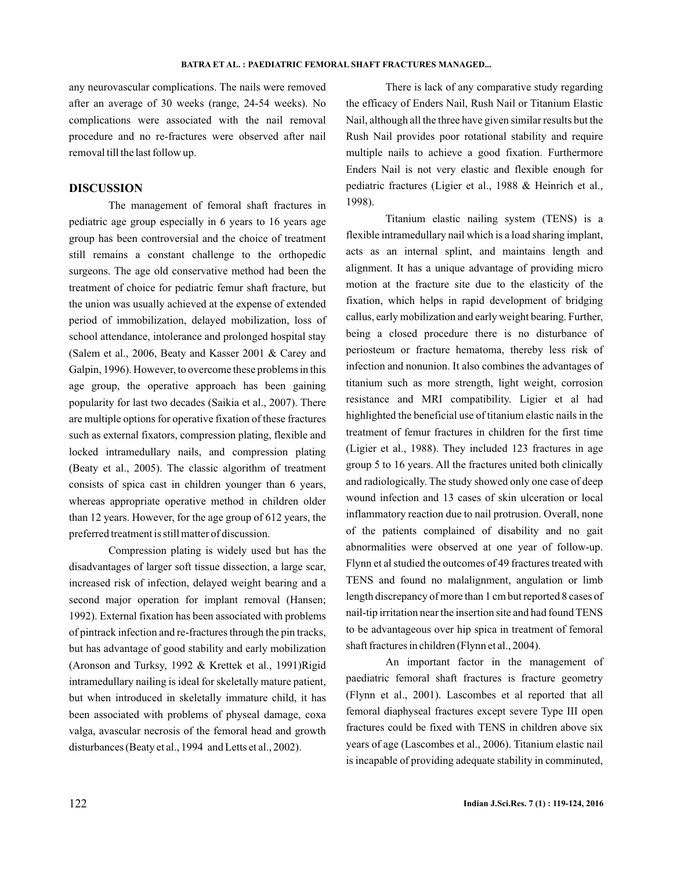#### **BATRA ET AL. : PAEDIATRIC FEMORAL SHAFT FRACTURES MANAGED...**

any neurovascular complications. The nails were removed after an average of 30 weeks (range, 24-54 weeks). No complications were associated with the nail removal procedure and no re-fractures were observed after nail removal till the last follow up.

# **DISCUSSION**

The management of femoral shaft fractures in pediatric age group especially in 6 years to 16 years age group has been controversial and the choice of treatment still remains a constant challenge to the orthopedic surgeons. The age old conservative method had been the treatment of choice for pediatric femur shaft fracture, but the union was usually achieved at the expense of extended period of immobilization, delayed mobilization, loss of school attendance, intolerance and prolonged hospital stay (Salem et al., 2006, Beaty and Kasser 2001 & Carey and Galpin, 1996). However, to overcome these problems in this age group, the operative approach has been gaining popularity for last two decades (Saikia et al., 2007). There are multiple options for operative fixation of these fractures such as external fixators, compression plating, flexible and locked intramedullary nails, and compression plating (Beaty et al., 2005). The classic algorithm of treatment consists of spica cast in children younger than 6 years, whereas appropriate operative method in children older than 12 years. However, for the age group of 612 years, the preferred treatment is still matter of discussion.

Compression plating is widely used but has the disadvantages of larger soft tissue dissection, a large scar, increased risk of infection, delayed weight bearing and a second major operation for implant removal (Hansen; 1992). External fixation has been associated with problems of pintrack infection and re-fractures through the pin tracks, but has advantage of good stability and early mobilization (Aronson and Turksy, 1992 & Krettek et al., 1991)Rigid intramedullary nailing is ideal for skeletally mature patient, but when introduced in skeletally immature child, it has been associated with problems of physeal damage, coxa valga, avascular necrosis of the femoral head and growth disturbances (Beaty et al., 1994 and Letts et al., 2002).

There is lack of any comparative study regarding the efficacy of Enders Nail, Rush Nail or Titanium Elastic Nail, although all the three have given similar results but the Rush Nail provides poor rotational stability and require multiple nails to achieve a good fixation. Furthermore Enders Nail is not very elastic and flexible enough for pediatric fractures (Ligier et al., 1988 & Heinrich et al., 1998).

Titanium elastic nailing system (TENS) is a flexible intramedullary nail which is a load sharing implant, acts as an internal splint, and maintains length and alignment. It has a unique advantage of providing micro motion at the fracture site due to the elasticity of the fixation, which helps in rapid development of bridging callus, early mobilization and early weight bearing. Further, being a closed procedure there is no disturbance of periosteum or fracture hematoma, thereby less risk of infection and nonunion. It also combines the advantages of titanium such as more strength, light weight, corrosion resistance and MRI compatibility. Ligier et al had highlighted the beneficial use of titanium elastic nails in the treatment of femur fractures in children for the first time (Ligier et al., 1988). They included 123 fractures in age group 5 to 16 years. All the fractures united both clinically and radiologically. The study showed only one case of deep wound infection and 13 cases of skin ulceration or local inflammatory reaction due to nail protrusion. Overall, none of the patients complained of disability and no gait abnormalities were observed at one year of follow-up. Flynn et al studied the outcomes of 49 fractures treated with TENS and found no malalignment, angulation or limb length discrepancy of more than 1 cm but reported 8 cases of nail-tip irritation near the insertion site and had found TENS to be advantageous over hip spica in treatment of femoral shaft fractures in children (Flynn et al., 2004).

An important factor in the management of paediatric femoral shaft fractures is fracture geometry (Flynn et al., 2001). Lascombes et al reported that all femoral diaphyseal fractures except severe Type III open fractures could be fixed with TENS in children above six years of age (Lascombes et al., 2006). Titanium elastic nail is incapable of providing adequate stability in comminuted,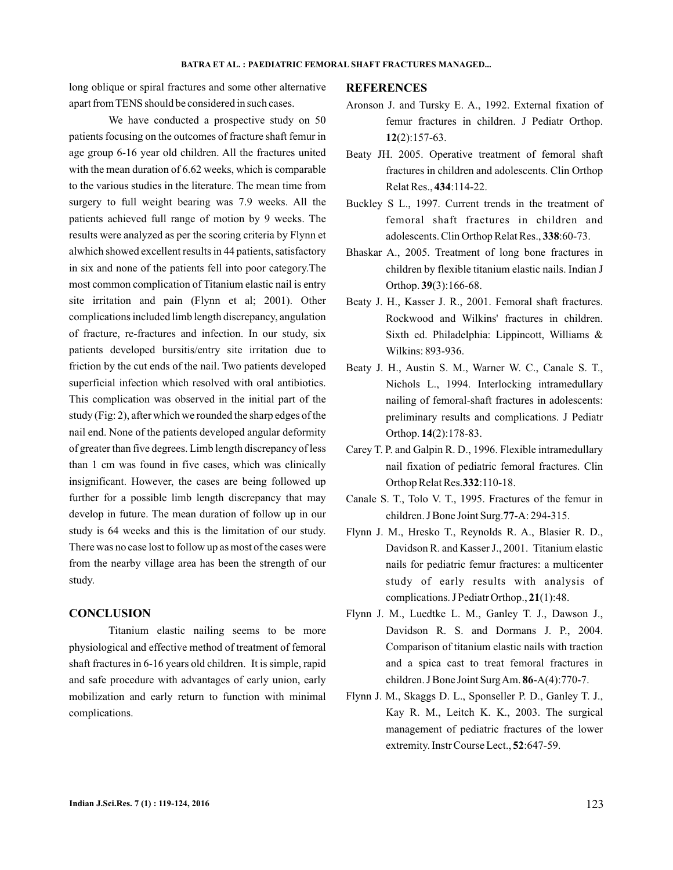long oblique or spiral fractures and some other alternative apart from TENS should be considered in such cases.

We have conducted a prospective study on 50 patients focusing on the outcomes of fracture shaft femur in age group 6-16 year old children. All the fractures united with the mean duration of 6.62 weeks, which is comparable to the various studies in the literature. The mean time from surgery to full weight bearing was 7.9 weeks. All the patients achieved full range of motion by 9 weeks. The results were analyzed as per the scoring criteria by Flynn et alwhich showed excellent results in 44 patients, satisfactory in six and none of the patients fell into poor category.The most common complication of Titanium elastic nail is entry site irritation and pain (Flynn et al; 2001). Other complications included limb length discrepancy, angulation of fracture, re-fractures and infection. In our study, six patients developed bursitis/entry site irritation due to friction by the cut ends of the nail. Two patients developed superficial infection which resolved with oral antibiotics. This complication was observed in the initial part of the study (Fig: 2), after which we rounded the sharp edges of the nail end. None of the patients developed angular deformity of greater than five degrees. Limb length discrepancy of less than 1 cm was found in five cases, which was clinically insignificant. However, the cases are being followed up further for a possible limb length discrepancy that may develop in future. The mean duration of follow up in our study is 64 weeks and this is the limitation of our study. There was no case lost to follow up as most of the cases were from the nearby village area has been the strength of our study.

### **CONCLUSION**

Titanium elastic nailing seems to be more physiological and effective method of treatment of femoral shaft fractures in 6-16 years old children. It is simple, rapid and safe procedure with advantages of early union, early mobilization and early return to function with minimal complications.

#### **REFERENCES**

- Aronson J. and Tursky E. A., 1992. External fixation of femur fractures in children. J Pediatr Orthop. (2):157-63. **12**
- Beaty JH. 2005. Operative treatment of femoral shaft fractures in children and adolescents. Clin Orthop Relat Res., 434:114-22.
- Buckley S L., 1997. Current trends in the treatment of femoral shaft fractures in children and adolescents. Clin Orthop Relat Res., 338:60-73.
- Bhaskar A., 2005. Treatment of long bone fractures in children by flexible titanium elastic nails. Indian J Orthop. 39(3):166-68.
- Beaty J. H., Kasser J. R., 2001. Femoral shaft fractures. Rockwood and Wilkins' fractures in children. Sixth ed. Philadelphia: Lippincott, Williams & Wilkins: 893-936.
- Beaty J. H., Austin S. M., Warner W. C., Canale S. T., Nichols L., 1994. Interlocking intramedullary nailing of femoral-shaft fractures in adolescents: preliminary results and complications. J Pediatr Orthop. **14**(2):178-83.
- Carey T. P. and Galpin R. D., 1996. Flexible intramedullary nail fixation of pediatric femoral fractures. Clin Orthop Relat Res. 332:110-18.
- Canale S. T., Tolo V. T., 1995. Fractures of the femur in children. J Bone Joint Surg. 77-A: 294-315.
- Flynn J. M., Hresko T., Reynolds R. A., Blasier R. D., Davidson R. and Kasser J., 2001. Titanium elastic nails for pediatric femur fractures: a multicenter study of early results with analysis of complications. J Pediatr Orthop., 21(1):48.
- Flynn J. M., Luedtke L. M., Ganley T. J., Dawson J., Davidson R. S. and Dormans J. P., 2004. Comparison of titanium elastic nails with traction and a spica cast to treat femoral fractures in children. J Bone Joint Surg Am. 86-A(4):770-7.
- Flynn J. M., Skaggs D. L., Sponseller P. D., Ganley T. J., Kay R. M., Leitch K. K., 2003. The surgical management of pediatric fractures of the lower extremity. Instr Course Lect., 52:647-59.